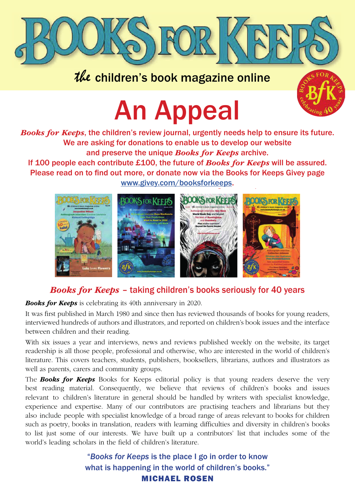

## the children's book magazine online



# An Appeal the children's book magazine online THE APPEAL OF STREET

*Books for Keeps*, the children's review journal, urgently needs help to ensure its future. *Books for Keeps*, the children's review journal, urgently needs help to ensure its future. We are asking for donations to enable us to develop our website and preserve the unique *Books for Keeps* archive. If 100 people each contribute £100, the future of *Books for Keeps* will be assured. Please read on to find out more, or donate now via the Books for Keeps Givey page www.givey.com/booksforkeeps.



### *Books for Keeps* – taking children's books seriously for 40 years *Books for Keeps* – taking children's books seriously for 40 years

*Books for Keeps* is celebrating its 40th anniversary in 2020. *Books for Keeps* is celebrating its 40th anniversary in 2020.

It was first published in March 1980 and since then has reviewed thousands of books for young readers, interviewed hundreds of authors and illustrators, and reported on children's book issues and the interface between children and their reading. It was first published in March 1980 and since the new orders of books for  $\alpha$  and  $\alpha$  $\overline{s}$  inst published in march 1960 and since then has reviewed diousands of books for young rea

With six issues a year and interviews, news and reviews published weekly on the website, its target readership is all those people, professional and otherwise, who are interested in the world of children's literature. This covers teachers, students, publishers, booksellers, librarians, authors and illustrators as well as parents, carers and community groups.

The **Books for Keeps** Books for Keeps editorial policy is that young readers deserve the very best reading material. Consequently, we believe that reviews of children's books and issues relevant to children's literature in general should be handled by writers with specialist knowledge, experience and expertise. Many of our contributors are practising teachers and librarians but they also include people with specialist knowledge of a broad range of areas relevant to books for children such as poetry, books in translation, readers with learning difficulties and diversity in children's books to list just some of our interests. We have built up a contributors' list that includes some of the place I go in order to know the place I go in the place I go in the place I go in the place I go in the place I go in the world's leading scholars in the field of children's literature. reading material. Consequently, we beneve that reviews of emitted books and library

> "Books for Keeps is the place I go in order to know what is happening in the world of children's books." MICHAEL ROSEN